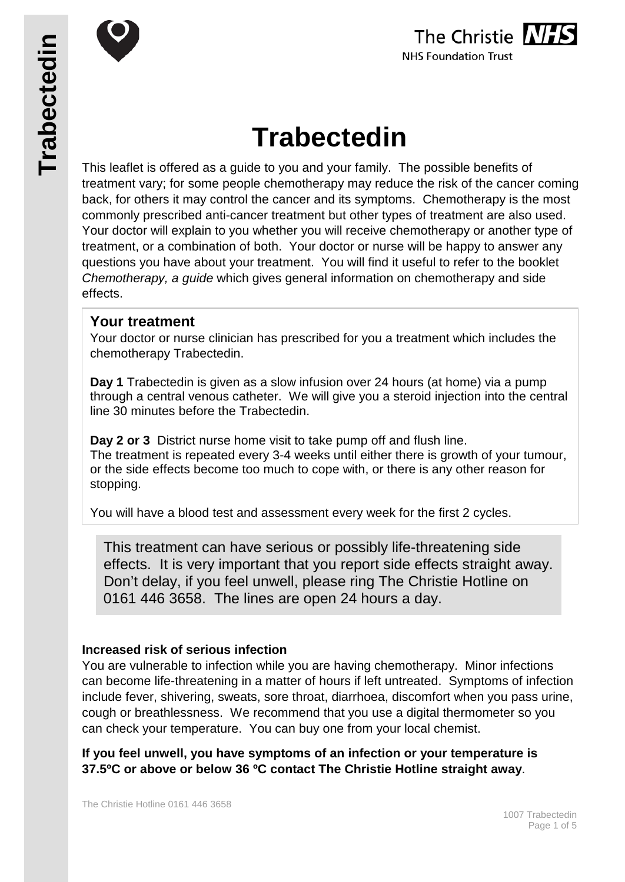





# **Trabectedin**

This leaflet is offered as a guide to you and your family. The possible benefits of treatment vary; for some people chemotherapy may reduce the risk of the cancer coming back, for others it may control the cancer and its symptoms. Chemotherapy is the most commonly prescribed anti-cancer treatment but other types of treatment are also used. Your doctor will explain to you whether you will receive chemotherapy or another type of treatment, or a combination of both. Your doctor or nurse will be happy to answer any questions you have about your treatment. You will find it useful to refer to the booklet *Chemotherapy, a guide* which gives general information on chemotherapy and side effects.

# **Your treatment**

Your doctor or nurse clinician has prescribed for you a treatment which includes the chemotherapy Trabectedin.

**Day 1** Trabectedin is given as a slow infusion over 24 hours (at home) via a pump through a central venous catheter. We will give you a steroid injection into the central line 30 minutes before the Trabectedin.

**Day 2 or 3** District nurse home visit to take pump off and flush line. The treatment is repeated every 3-4 weeks until either there is growth of your tumour, or the side effects become too much to cope with, or there is any other reason for stopping.

You will have a blood test and assessment every week for the first 2 cycles.

This treatment can have serious or possibly life-threatening side effects. It is very important that you report side effects straight away. Don't delay, if you feel unwell, please ring The Christie Hotline on 0161 446 3658. The lines are open 24 hours a day.

# **Increased risk of serious infection**

You are vulnerable to infection while you are having chemotherapy. Minor infections can become life-threatening in a matter of hours if left untreated. Symptoms of infection include fever, shivering, sweats, sore throat, diarrhoea, discomfort when you pass urine, cough or breathlessness. We recommend that you use a digital thermometer so you can check your temperature. You can buy one from your local chemist.

**If you feel unwell, you have symptoms of an infection or your temperature is 37.5ºC or above or below 36 ºC contact The Christie Hotline straight away**.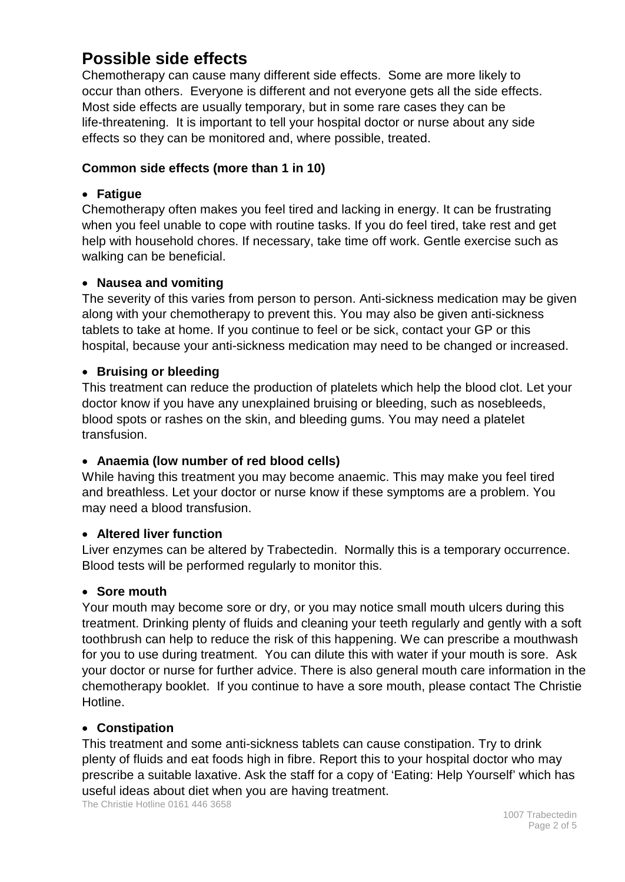# **Possible side effects**

Chemotherapy can cause many different side effects. Some are more likely to occur than others. Everyone is different and not everyone gets all the side effects. Most side effects are usually temporary, but in some rare cases they can be life-threatening. It is important to tell your hospital doctor or nurse about any side effects so they can be monitored and, where possible, treated.

# **Common side effects (more than 1 in 10)**

#### • **Fatigue**

Chemotherapy often makes you feel tired and lacking in energy. It can be frustrating when you feel unable to cope with routine tasks. If you do feel tired, take rest and get help with household chores. If necessary, take time off work. Gentle exercise such as walking can be beneficial.

## • **Nausea and vomiting**

The severity of this varies from person to person. Anti-sickness medication may be given along with your chemotherapy to prevent this. You may also be given anti-sickness tablets to take at home. If you continue to feel or be sick, contact your GP or this hospital, because your anti-sickness medication may need to be changed or increased.

## • **Bruising or bleeding**

This treatment can reduce the production of platelets which help the blood clot. Let your doctor know if you have any unexplained bruising or bleeding, such as nosebleeds, blood spots or rashes on the skin, and bleeding gums. You may need a platelet transfusion.

#### • **Anaemia (low number of red blood cells)**

While having this treatment you may become anaemic. This may make you feel tired and breathless. Let your doctor or nurse know if these symptoms are a problem. You may need a blood transfusion.

#### • **Altered liver function**

Liver enzymes can be altered by Trabectedin. Normally this is a temporary occurrence. Blood tests will be performed regularly to monitor this.

#### • **Sore mouth**

Your mouth may become sore or dry, or you may notice small mouth ulcers during this treatment. Drinking plenty of fluids and cleaning your teeth regularly and gently with a soft toothbrush can help to reduce the risk of this happening. We can prescribe a mouthwash for you to use during treatment. You can dilute this with water if your mouth is sore. Ask your doctor or nurse for further advice. There is also general mouth care information in the chemotherapy booklet. If you continue to have a sore mouth, please contact The Christie Hotline.

#### • **Constipation**

This treatment and some anti-sickness tablets can cause constipation. Try to drink plenty of fluids and eat foods high in fibre. Report this to your hospital doctor who may prescribe a suitable laxative. Ask the staff for a copy of 'Eating: Help Yourself' which has useful ideas about diet when you are having treatment.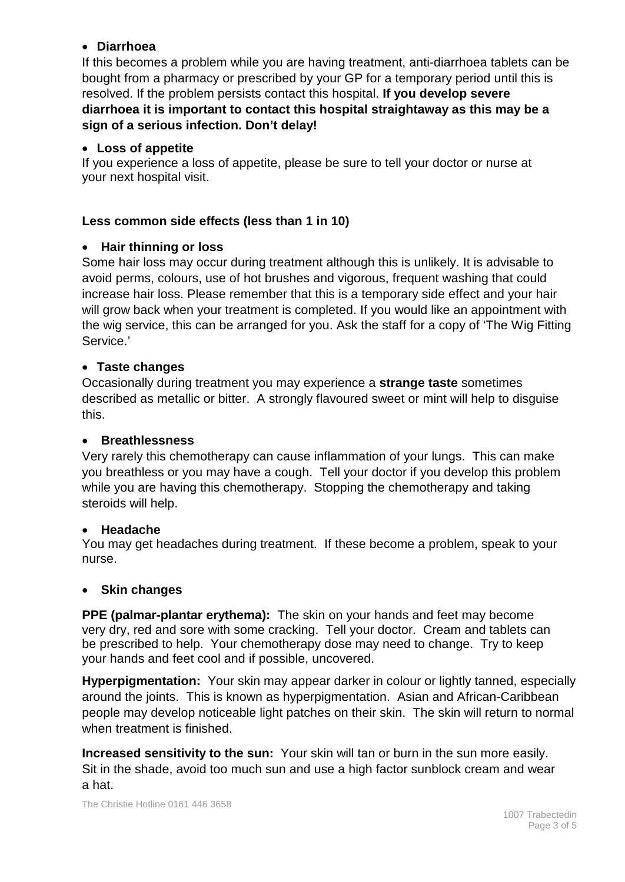## • **Diarrhoea**

If this becomes a problem while you are having treatment, anti-diarrhoea tablets can be bought from a pharmacy or prescribed by your GP for a temporary period until this is resolved. If the problem persists contact this hospital. **If you develop severe diarrhoea it is important to contact this hospital straightaway as this may be a sign of a serious infection. Don't delay!**

# • **Loss of appetite**

If you experience a loss of appetite, please be sure to tell your doctor or nurse at your next hospital visit.

# **Less common side effects (less than 1 in 10)**

## • **Hair thinning or loss**

Some hair loss may occur during treatment although this is unlikely. It is advisable to avoid perms, colours, use of hot brushes and vigorous, frequent washing that could increase hair loss. Please remember that this is a temporary side effect and your hair will grow back when your treatment is completed. If you would like an appointment with the wig service, this can be arranged for you. Ask the staff for a copy of 'The Wig Fitting Service.'

## • **Taste changes**

Occasionally during treatment you may experience a **strange taste** sometimes described as metallic or bitter. A strongly flavoured sweet or mint will help to disguise this.

#### • **Breathlessness**

Very rarely this chemotherapy can cause inflammation of your lungs. This can make you breathless or you may have a cough. Tell your doctor if you develop this problem while you are having this chemotherapy. Stopping the chemotherapy and taking steroids will help.

#### • **Headache**

You may get headaches during treatment. If these become a problem, speak to your nurse.

#### • **Skin changes**

**PPE (palmar-plantar erythema):** The skin on your hands and feet may become very dry, red and sore with some cracking. Tell your doctor. Cream and tablets can be prescribed to help. Your chemotherapy dose may need to change. Try to keep your hands and feet cool and if possible, uncovered.

**Hyperpigmentation:** Your skin may appear darker in colour or lightly tanned, especially around the joints. This is known as hyperpigmentation. Asian and African-Caribbean people may develop noticeable light patches on their skin. The skin will return to normal when treatment is finished.

**Increased sensitivity to the sun:** Your skin will tan or burn in the sun more easily. Sit in the shade, avoid too much sun and use a high factor sunblock cream and wear a hat.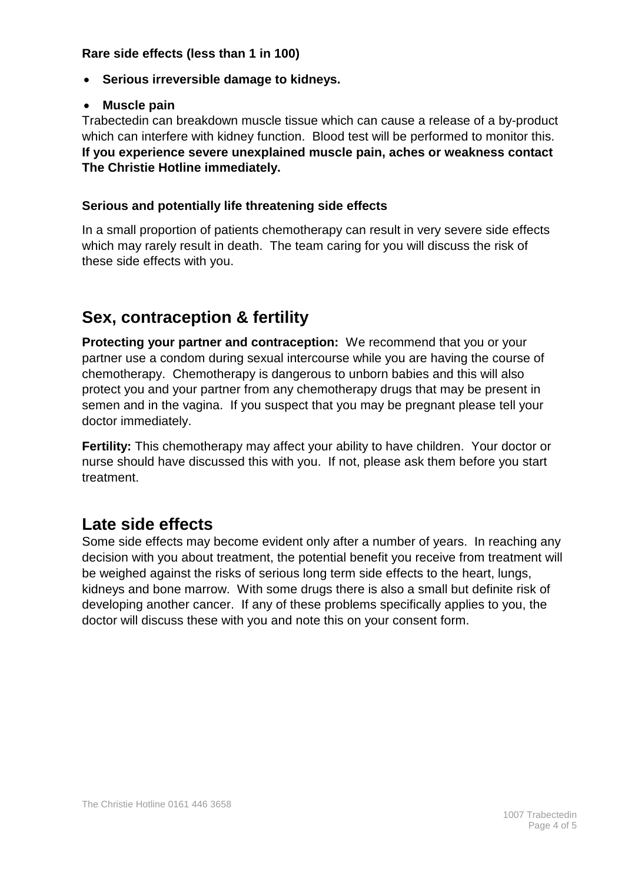#### **Rare side effects (less than 1 in 100)**

- **Serious irreversible damage to kidneys.**
- **Muscle pain**

Trabectedin can breakdown muscle tissue which can cause a release of a by-product which can interfere with kidney function. Blood test will be performed to monitor this. **If you experience severe unexplained muscle pain, aches or weakness contact The Christie Hotline immediately.**

# **Serious and potentially life threatening side effects**

In a small proportion of patients chemotherapy can result in very severe side effects which may rarely result in death. The team caring for you will discuss the risk of these side effects with you.

# **Sex, contraception & fertility**

**Protecting your partner and contraception:** We recommend that you or your partner use a condom during sexual intercourse while you are having the course of chemotherapy. Chemotherapy is dangerous to unborn babies and this will also protect you and your partner from any chemotherapy drugs that may be present in semen and in the vagina. If you suspect that you may be pregnant please tell your doctor immediately.

**Fertility:** This chemotherapy may affect your ability to have children. Your doctor or nurse should have discussed this with you. If not, please ask them before you start treatment.

# **Late side effects**

Some side effects may become evident only after a number of years. In reaching any decision with you about treatment, the potential benefit you receive from treatment will be weighed against the risks of serious long term side effects to the heart, lungs, kidneys and bone marrow. With some drugs there is also a small but definite risk of developing another cancer. If any of these problems specifically applies to you, the doctor will discuss these with you and note this on your consent form.